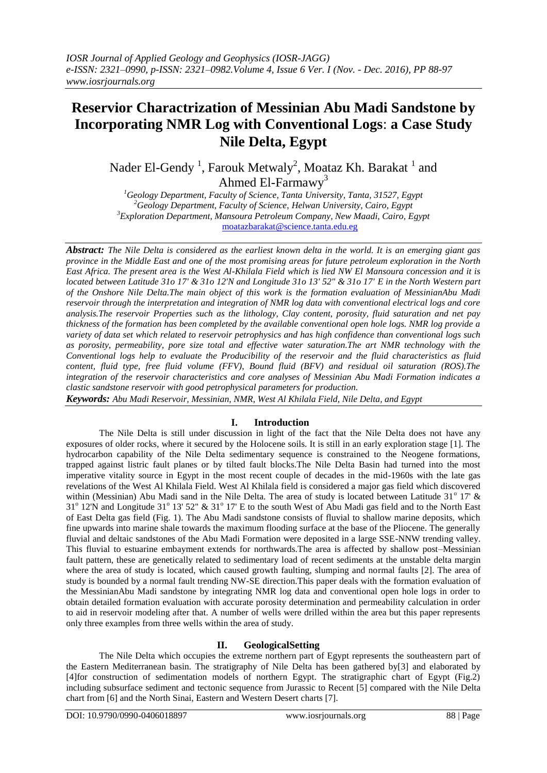# **Reservior Charactrization of Messinian Abu Madi Sandstone by Incorporating NMR Log with Conventional Logs**: **a Case Study Nile Delta, Egypt**

Nader El-Gendy<sup>1</sup>, Farouk Metwaly<sup>2</sup>, Moataz Kh. Barakat<sup>1</sup> and Ahmed El-Farmawy<sup>3</sup>

*Geology Department, Faculty of Science, Tanta University, Tanta, 31527, Egypt Geology Department, Faculty of Science, Helwan University, Cairo, Egypt Exploration Department, Mansoura Petroleum Company, New Maadi, Cairo, Egypt* [moatazbarakat@science.tanta.edu.eg](mailto:moatazbarakat@science.tanta.edu.eg)

*Abstract: The Nile Delta is considered as the earliest known delta in the world. It is an emerging giant gas province in the Middle East and one of the most promising areas for future petroleum exploration in the North East Africa. The present area is the West Al-Khilala Field which is lied NW El Mansoura concession and it is located between Latitude 31o 17' & 31o 12'N and Longitude 31o 13' 52" & 31o 17' E in the North Western part of the Onshore Nile Delta.The main object of this work is the formation evaluation of MessinianAbu Madi reservoir through the interpretation and integration of NMR log data with conventional electrical logs and core analysis.The reservoir Properties such as the lithology, Clay content, porosity, fluid saturation and net pay thickness of the formation has been completed by the available conventional open hole logs. NMR log provide a variety of data set which related to reservoir petrophysics and has high confidence than conventional logs such as porosity, permeability, pore size total and effective water saturation.The art NMR technology with the Conventional logs help to evaluate the Producibility of the reservoir and the fluid characteristics as fluid content, fluid type, free fluid volume (FFV), Bound fluid (BFV) and residual oil saturation (ROS).The integration of the reservoir characteristics and core analyses of Messinian Abu Madi Formation indicates a clastic sandstone reservoir with good petrophysical parameters for production.*

*Keywords: Abu Madi Reservoir, Messinian, NMR, West Al Khilala Field, Nile Delta, and Egypt*

## **I. Introduction**

The Nile Delta is still under discussion in light of the fact that the Nile Delta does not have any exposures of older rocks, where it secured by the Holocene soils. It is still in an early exploration stage [1]. The hydrocarbon capability of the Nile Delta sedimentary sequence is constrained to the Neogene formations, trapped against listric fault planes or by tilted fault blocks.The Nile Delta Basin had turned into the most imperative vitality source in Egypt in the most recent couple of decades in the mid-1960s with the late gas revelations of the West Al Khilala Field. West Al Khilala field is considered a major gas field which discovered within (Messinian) Abu Madi sand in the Nile Delta. The area of study is located between Latitude  $31^{\circ}$  17' & 31<sup>°</sup> 12'N and Longitude 31<sup>°</sup> 13' 52" & 31<sup>°</sup> 17' E to the south West of Abu Madi gas field and to the North East of East Delta gas field (Fig. 1). The Abu Madi sandstone consists of fluvial to shallow marine deposits, which fine upwards into marine shale towards the maximum flooding surface at the base of the Pliocene. The generally fluvial and deltaic sandstones of the Abu Madi Formation were deposited in a large SSE-NNW trending valley. This fluvial to estuarine embayment extends for northwards.The area is affected by shallow post–Messinian fault pattern, these are genetically related to sedimentary load of recent sediments at the unstable delta margin where the area of study is located, which caused growth faulting, slumping and normal faults [2]. The area of study is bounded by a normal fault trending NW-SE direction.This paper deals with the formation evaluation of the MessinianAbu Madi sandstone by integrating NMR log data and conventional open hole logs in order to obtain detailed formation evaluation with accurate porosity determination and permeability calculation in order to aid in reservoir modeling after that. A number of wells were drilled within the area but this paper represents only three examples from three wells within the area of study.

## **II. GeologicalSetting**

The Nile Delta which occupies the extreme northern part of Egypt represents the southeastern part of the Eastern Mediterranean basin. The stratigraphy of Nile Delta has been gathered by[3] and elaborated by [4]for construction of sedimentation models of northern Egypt. The stratigraphic chart of Egypt (Fig.2) including subsurface sediment and tectonic sequence from Jurassic to Recent [5] compared with the Nile Delta chart from [6] and the North Sinai, Eastern and Western Desert charts [7].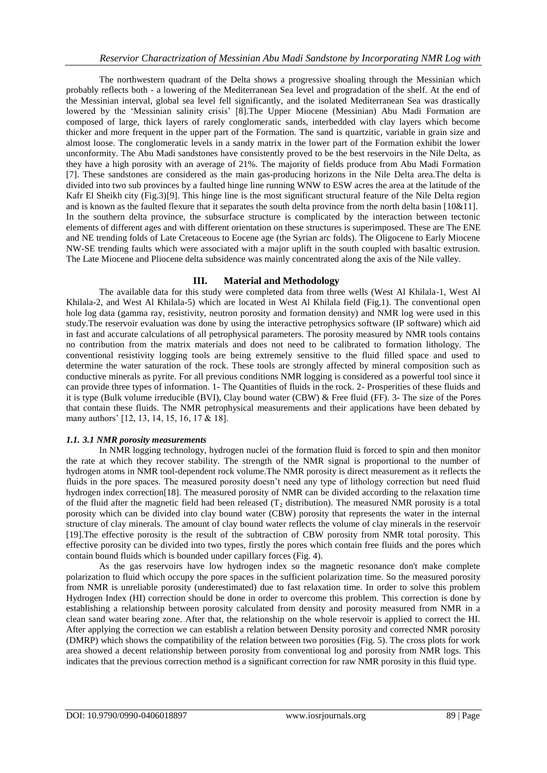The northwestern quadrant of the Delta shows a progressive shoaling through the Messinian which probably reflects both - a lowering of the Mediterranean Sea level and progradation of the shelf. At the end of the Messinian interval, global sea level fell significantly, and the isolated Mediterranean Sea was drastically lowered by the 'Messinian salinity crisis' [8].The Upper Miocene (Messinian) Abu Madi Formation are composed of large, thick layers of rarely conglomeratic sands, interbedded with clay layers which become thicker and more frequent in the upper part of the Formation. The sand is quartzitic, variable in grain size and almost loose. The conglomeratic levels in a sandy matrix in the lower part of the Formation exhibit the lower unconformity. The Abu Madi sandstones have consistently proved to be the best reservoirs in the Nile Delta, as they have a high porosity with an average of 21%. The majority of fields produce from Abu Madi Formation [7]. These sandstones are considered as the main gas-producing horizons in the Nile Delta area.The delta is divided into two sub provinces by a faulted hinge line running WNW to ESW acres the area at the latitude of the Kafr El Sheikh city (Fig.3)[9]. This hinge line is the most significant structural feature of the Nile Delta region and is known as the faulted flexure that it separates the south delta province from the north delta basin [10&11]. In the southern delta province, the subsurface structure is complicated by the interaction between tectonic elements of different ages and with different orientation on these structures is superimposed. These are The ENE and NE trending folds of Late Cretaceous to Eocene age (the Syrian arc folds). The Oligocene to Early Miocene NW-SE trending faults which were associated with a major uplift in the south coupled with basaltic extrusion. The Late Miocene and Pliocene delta subsidence was mainly concentrated along the axis of the Nile valley.

## **III. Material and Methodology**

The available data for this study were completed data from three wells (West Al Khilala-1, West Al Khilala-2, and West Al Khilala-5) which are located in West Al Khilala field (Fig.1). The conventional open hole log data (gamma ray, resistivity, neutron porosity and formation density) and NMR log were used in this study.The reservoir evaluation was done by using the interactive petrophysics software (IP software) which aid in fast and accurate calculations of all petrophysical parameters. The porosity measured by NMR tools contains no contribution from the matrix materials and does not need to be calibrated to formation lithology. The conventional resistivity logging tools are being extremely sensitive to the fluid filled space and used to determine the water saturation of the rock. These tools are strongly affected by mineral composition such as conductive minerals as pyrite. For all previous conditions NMR logging is considered as a powerful tool since it can provide three types of information. 1- The Quantities of fluids in the rock. 2- Prosperities of these fluids and it is type (Bulk volume irreducible (BVI), Clay bound water (CBW) & Free fluid (FF). 3- The size of the Pores that contain these fluids. The NMR petrophysical measurements and their applications have been debated by many authors' [12, 13, 14, 15, 16, 17 & 18].

## *1.1. 3.1 NMR porosity measurements*

In NMR logging technology, hydrogen nuclei of the formation fluid is forced to spin and then monitor the rate at which they recover stability. The strength of the NMR signal is proportional to the number of hydrogen atoms in NMR tool-dependent rock volume.The NMR porosity is direct measurement as it reflects the fluids in the pore spaces. The measured porosity doesn't need any type of lithology correction but need fluid hydrogen index correction[18]. The measured porosity of NMR can be divided according to the relaxation time of the fluid after the magnetic field had been released  $(T_2$  distribution). The measured NMR porosity is a total porosity which can be divided into clay bound water (CBW) porosity that represents the water in the internal structure of clay minerals. The amount of clay bound water reflects the volume of clay minerals in the reservoir [19].The effective porosity is the result of the subtraction of CBW porosity from NMR total porosity. This effective porosity can be divided into two types, firstly the pores which contain free fluids and the pores which contain bound fluids which is bounded under capillary forces (Fig. 4).

As the gas reservoirs have low hydrogen index so the magnetic resonance don't make complete polarization to fluid which occupy the pore spaces in the sufficient polarization time. So the measured porosity from NMR is unreliable porosity (underestimated) due to fast relaxation time. In order to solve this problem Hydrogen Index (HI) correction should be done in order to overcome this problem. This correction is done by establishing a relationship between porosity calculated from density and porosity measured from NMR in a clean sand water bearing zone. After that, the relationship on the whole reservoir is applied to correct the HI. After applying the correction we can establish a relation between Density porosity and corrected NMR porosity (DMRP) which shows the compatibility of the relation between two porosities (Fig. 5). The cross plots for work area showed a decent relationship between porosity from conventional log and porosity from NMR logs. This indicates that the previous correction method is a significant correction for raw NMR porosity in this fluid type.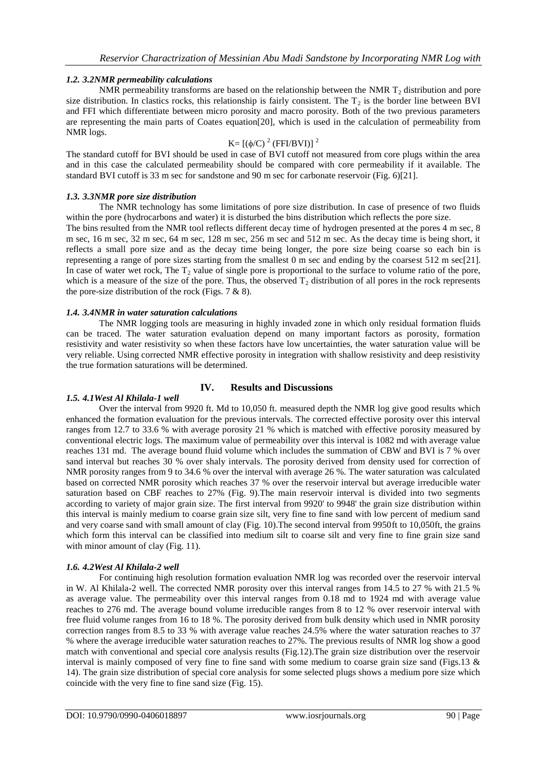## *1.2. 3.2NMR permeability calculations*

NMR permeability transforms are based on the relationship between the NMR  $T<sub>2</sub>$  distribution and pore size distribution. In clastics rocks, this relationship is fairly consistent. The  $T_2$  is the border line between BVI and FFI which differentiate between micro porosity and macro porosity. Both of the two previous parameters are representing the main parts of Coates equation[20], which is used in the calculation of permeability from NMR logs.

## K= [(φ/C)<sup>2</sup> (FFI/BVI)]<sup>2</sup>

The standard cutoff for BVI should be used in case of BVI cutoff not measured from core plugs within the area and in this case the calculated permeability should be compared with core permeability if it available. The standard BVI cutoff is 33 m sec for sandstone and 90 m sec for carbonate reservoir (Fig. 6)[21].

#### *1.3. 3.3NMR pore size distribution*

The NMR technology has some limitations of pore size distribution. In case of presence of two fluids within the pore (hydrocarbons and water) it is disturbed the bins distribution which reflects the pore size.

The bins resulted from the NMR tool reflects different decay time of hydrogen presented at the pores 4 m sec, 8 m sec, 16 m sec, 32 m sec, 64 m sec, 128 m sec, 256 m sec and 512 m sec. As the decay time is being short, it reflects a small pore size and as the decay time being longer, the pore size being coarse so each bin is representing a range of pore sizes starting from the smallest 0 m sec and ending by the coarsest 512 m sec[21]. In case of water wet rock, The  $T_2$  value of single pore is proportional to the surface to volume ratio of the pore, which is a measure of the size of the pore. Thus, the observed  $T<sub>2</sub>$  distribution of all pores in the rock represents the pore-size distribution of the rock (Figs.  $7 \& 8$ ).

#### *1.4. 3.4NMR in water saturation calculations*

The NMR logging tools are measuring in highly invaded zone in which only residual formation fluids can be traced. The water saturation evaluation depend on many important factors as porosity, formation resistivity and water resistivity so when these factors have low uncertainties, the water saturation value will be very reliable. Using corrected NMR effective porosity in integration with shallow resistivity and deep resistivity the true formation saturations will be determined.

#### **IV. Results and Discussions**

#### *1.5. 4.1West Al Khilala-1 well*

Over the interval from 9920 ft. Md to 10,050 ft. measured depth the NMR log give good results which enhanced the formation evaluation for the previous intervals. The corrected effective porosity over this interval ranges from 12.7 to 33.6 % with average porosity 21 % which is matched with effective porosity measured by conventional electric logs. The maximum value of permeability over this interval is 1082 md with average value reaches 131 md. The average bound fluid volume which includes the summation of CBW and BVI is 7 % over sand interval but reaches 30 % over shaly intervals. The porosity derived from density used for correction of NMR porosity ranges from 9 to 34.6 % over the interval with average 26 %. The water saturation was calculated based on corrected NMR porosity which reaches 37 % over the reservoir interval but average irreducible water saturation based on CBF reaches to 27% (Fig. 9).The main reservoir interval is divided into two segments according to variety of major grain size. The first interval from 9920' to 9948' the grain size distribution within this interval is mainly medium to coarse grain size silt, very fine to fine sand with low percent of medium sand and very coarse sand with small amount of clay (Fig. 10).The second interval from 9950ft to 10,050ft, the grains which form this interval can be classified into medium silt to coarse silt and very fine to fine grain size sand with minor amount of clay (Fig. 11).

#### *1.6. 4.2West Al Khilala-2 well*

For continuing high resolution formation evaluation NMR log was recorded over the reservoir interval in W. Al Khilala-2 well. The corrected NMR porosity over this interval ranges from 14.5 to 27 % with 21.5 % as average value. The permeability over this interval ranges from 0.18 md to 1924 md with average value reaches to 276 md. The average bound volume irreducible ranges from 8 to 12 % over reservoir interval with free fluid volume ranges from 16 to 18 %. The porosity derived from bulk density which used in NMR porosity correction ranges from 8.5 to 33 % with average value reaches 24.5% where the water saturation reaches to 37 % where the average irreducible water saturation reaches to 27%. The previous results of NMR log show a good match with conventional and special core analysis results (Fig.12).The grain size distribution over the reservoir interval is mainly composed of very fine to fine sand with some medium to coarse grain size sand (Figs.13  $\&$ 14). The grain size distribution of special core analysis for some selected plugs shows a medium pore size which coincide with the very fine to fine sand size (Fig. 15).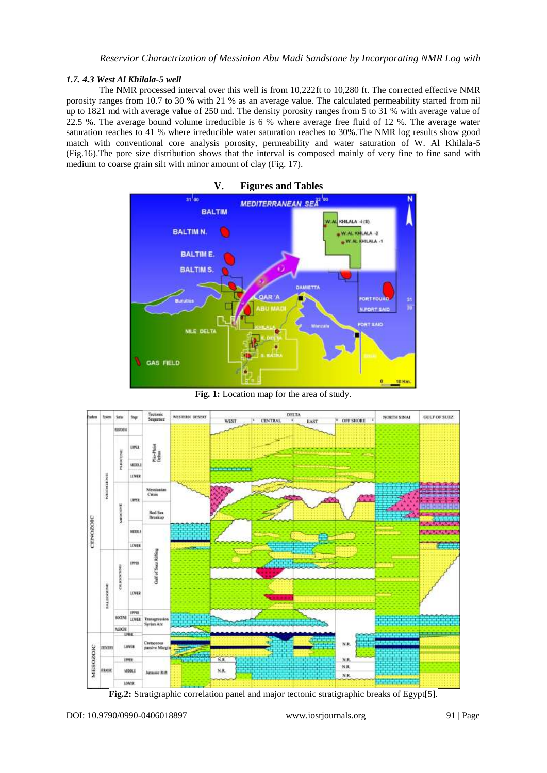## *1.7. 4.3 West Al Khilala-5 well*

The NMR processed interval over this well is from 10,222ft to 10,280 ft. The corrected effective NMR porosity ranges from 10.7 to 30 % with 21 % as an average value. The calculated permeability started from nil up to 1821 md with average value of 250 md. The density porosity ranges from 5 to 31 % with average value of 22.5 %. The average bound volume irreducible is 6 % where average free fluid of 12 %. The average water saturation reaches to 41 % where irreducible water saturation reaches to 30%.The NMR log results show good match with conventional core analysis porosity, permeability and water saturation of W. Al Khilala-5 (Fig.16).The pore size distribution shows that the interval is composed mainly of very fine to fine sand with medium to coarse grain silt with minor amount of clay (Fig. 17).



**Fig. 1:** Location map for the area of study.



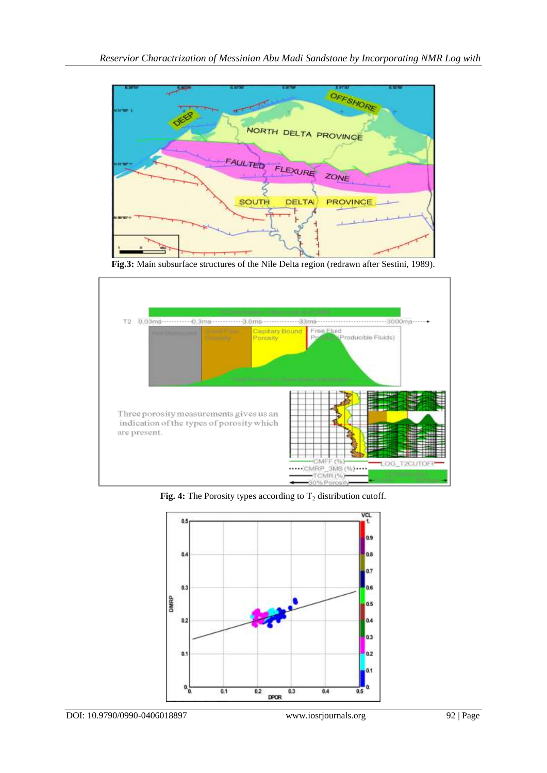

**Fig.3:** Main subsurface structures of the Nile Delta region (redrawn after Sestini, 1989).



**Fig. 4:** The Porosity types according to  $T_2$  distribution cutoff.

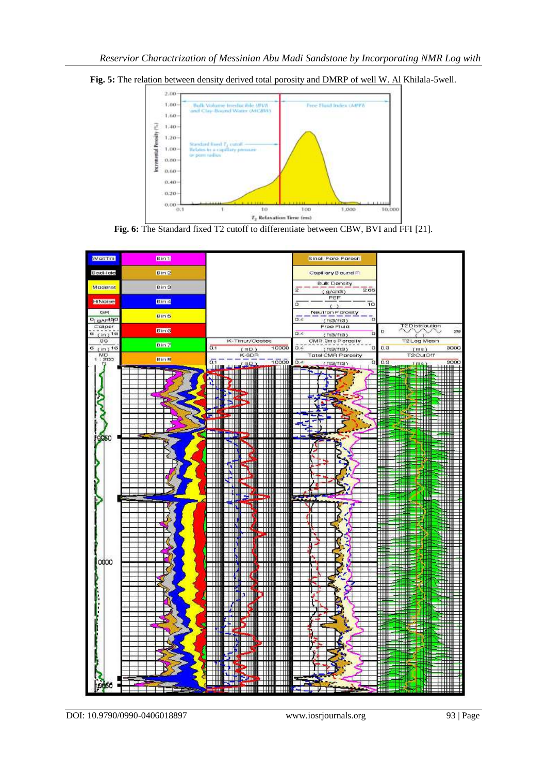

**Fig. 5:** The relation between density derived total porosity and DMRP of well W. Al Khilala-5well.





DOI: 10.9790/0990-0406018897 www.iosrjournals.org 93 | Page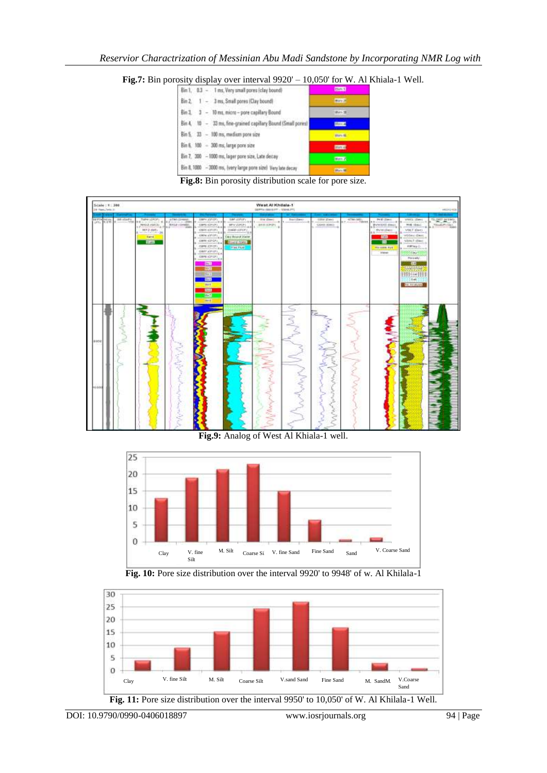**Fig.7:** Bin porosity display over interval 9920' – 10,050' for W. Al Khiala-1 Well.

|     |  | Bin 1, 0.3 - 1 ms, Very small pores (clay bound)              |                 |
|-----|--|---------------------------------------------------------------|-----------------|
| Bm2 |  | 1 - 3 ms, Small pores (Clay bound)                            | <b>MINTS</b>    |
|     |  | Bin 3. 3 - 10 ms, micro-pore capillary Bound                  | Wern 38         |
|     |  | Bin 4. 10 - 33 ms, fine-grained capillary Bound (Small pores) | ill mo.d.       |
|     |  | Bin 5. 33 - 100 ms, medium pore size                          | <b>Biaro 10</b> |
|     |  | Bin 6, 300 - 300 ms, large pore size                          | <b>HITLE</b>    |
|     |  | Bin 7. 300 - 1000 ms, lager pore size, Late decay             | <b>HmZ</b>      |
|     |  | Bin 8, 1000 - 3000 ms, (very large pore size) Very late decay | <b>Hine</b>     |

**Fig.8:** Bin porosity distribution scale for pore size.



**Fig.9:** Analog of West Al Khiala-1 well.



**Fig. 10:** Pore size distribution over the interval 9920' to 9948' of w. Al Khilala-1

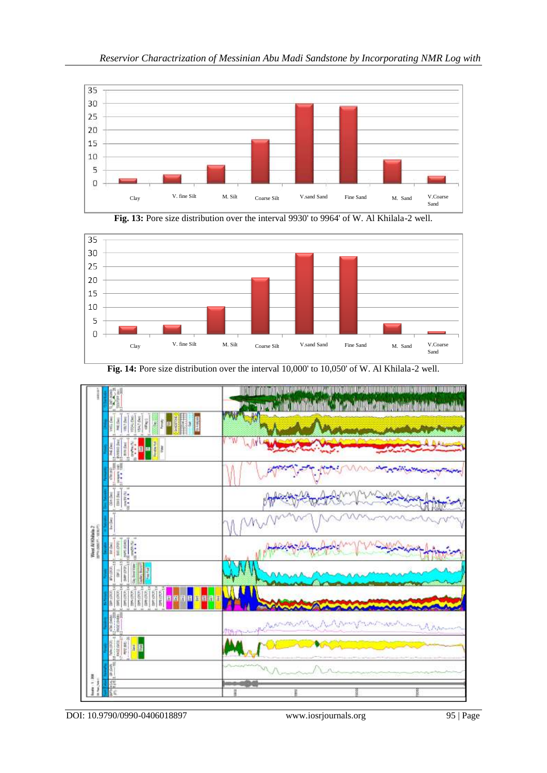







**Fig. 14:** Pore size distribution over the interval 10,000' to 10,050' of W. Al Khilala-2 well.

DOI: 10.9790/0990-0406018897 www.iosrjournals.org 95 | Page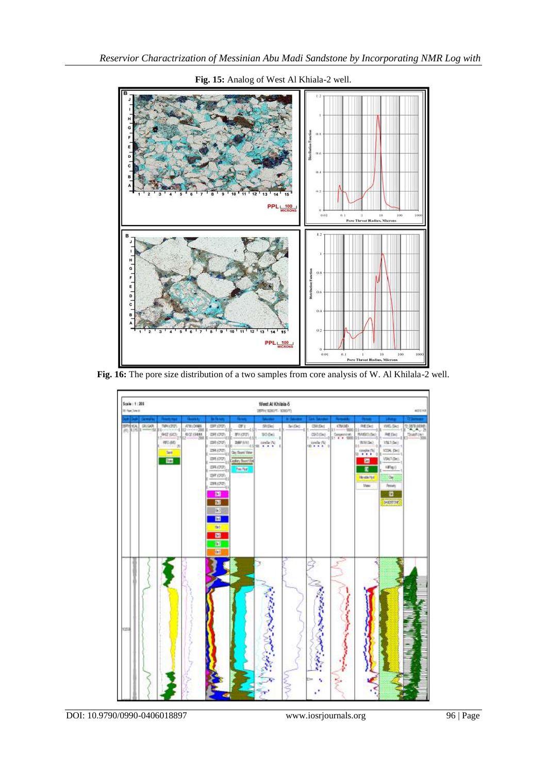

# **Fig. 15:** Analog of West Al Khiala-2 well.

**Fig. 16:** The pore size distribution of a two samples from core analysis of W. Al Khilala-2 well.